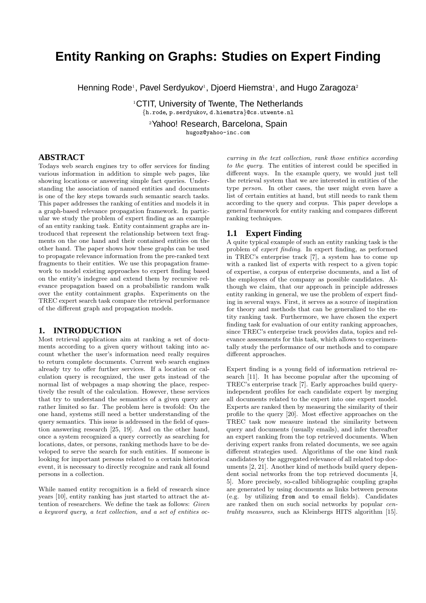# **Entity Ranking on Graphs: Studies on Expert Finding**

Henning Rode<sup>1</sup>, Pavel Serdyukov<sup>1</sup>, Djoerd Hiemstra<sup>1</sup>, and Hugo Zaragoza<sup>2</sup>

<sup>1</sup>CTIT, University of Twente, The Netherlands {h.rode, p.serdyukov, d.hiemstra}@cs.utwente.nl

<sup>2</sup>Yahoo! Research, Barcelona, Spain

hugoz@yahoo-inc.com

#### **ABSTRACT**

Todays web search engines try to offer services for finding various information in addition to simple web pages, like showing locations or answering simple fact queries. Understanding the association of named entities and documents is one of the key steps towards such semantic search tasks. This paper addresses the ranking of entities and models it in a graph-based relevance propagation framework. In particular we study the problem of expert finding as an example of an entity ranking task. Entity containment graphs are introduced that represent the relationship between text fragments on the one hand and their contained entities on the other hand. The paper shows how these graphs can be used to propagate relevance information from the pre-ranked text fragments to their entities. We use this propagation framework to model existing approaches to expert finding based on the entity's indegree and extend them by recursive relevance propagation based on a probabilistic random walk over the entity containment graphs. Experiments on the TREC expert search task compare the retrieval performance of the different graph and propagation models.

#### **1. INTRODUCTION**

Most retrieval applications aim at ranking a set of documents according to a given query without taking into account whether the user's information need really requires to return complete documents. Current web search engines already try to offer further services. If a location or calculation query is recognized, the user gets instead of the normal list of webpages a map showing the place, respectively the result of the calculation. However, these services that try to understand the semantics of a given query are rather limited so far. The problem here is twofold: On the one hand, systems still need a better understanding of the query semantics. This issue is addressed in the field of question answering research [25, 19]. And on the other hand, once a system recognized a query correctly as searching for locations, dates, or persons, ranking methods have to be developed to serve the search for such entities. If someone is looking for important persons related to a certain historical event, it is necessary to directly recognize and rank all found persons in a collection.

While named entity recognition is a field of research since years [10], entity ranking has just started to attract the attention of researchers. We define the task as follows: Given a keyword query, a text collection, and a set of entities oc-

curring in the text collection, rank those entities according to the query. The entities of interest could be specified in different ways. In the example query, we would just tell the retrieval system that we are interested in entities of the type person. In other cases, the user might even have a list of certain entities at hand, but still needs to rank them according to the query and corpus. This paper develops a general framework for entity ranking and compares different ranking techniques.

#### **1.1 Expert Finding**

A quite typical example of such an entity ranking task is the problem of expert finding. In expert finding, as performed in TREC's enterprise track [7], a system has to come up with a ranked list of experts with respect to a given topic of expertise, a corpus of enterprise documents, and a list of the employees of the company as possible candidates. Although we claim, that our approach in principle addresses entity ranking in general, we use the problem of expert finding in several ways. First, it serves as a source of inspiration for theory and methods that can be generalized to the entity ranking task. Furthermore, we have chosen the expert finding task for evaluation of our entity ranking approaches, since TREC's enterprise track provides data, topics and relevance assessments for this task, which allows to experimentally study the performance of our methods and to compare different approaches.

Expert finding is a young field of information retrieval research [11]. It has become popular after the upcoming of TREC's enterprise track [7]. Early approaches build queryindependent profiles for each candidate expert by merging all documents related to the expert into one expert model. Experts are ranked then by measuring the similarity of their profile to the query [20]. Most effective approaches on the TREC task now measure instead the similarity between query and documents (usually emails), and infer thereafter an expert ranking from the top retrieved documents. When deriving expert ranks from related documents, we see again different strategies used. Algorithms of the one kind rank candidates by the aggregated relevance of all related top documents [2, 21]. Another kind of methods build query dependent social networks from the top retrieved documents [4, 5]. More precisely, so-called bibliographic coupling graphs are generated by using documents as links between persons (e.g. by utilizing from and to email fields). Candidates are ranked then on such social networks by popular centrality measures, such as Kleinbergs HITS algorithm [15].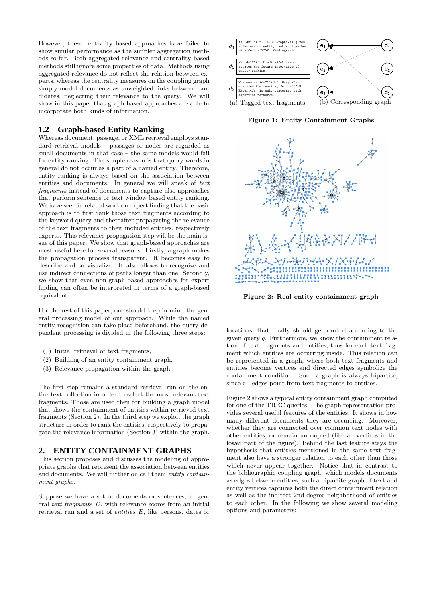However, these centrality based approaches have failed to show similar performance as the simpler aggregation methods so far. Both aggregated relevance and centrality based methods still ignore some properties of data. Methods using aggregated relevance do not reflect the relation between experts, whereas the centrality measures on the coupling graph simply model documents as unweighted links between candidates, neglecting their relevance to the query. We will show in this paper that graph-based approaches are able to incorporate both kinds of information.

# **1.2 Graph-based Entity Ranking**

Whereas document, passage, or XML retrieval employs standard retrieval models – passages or nodes are regarded as small documents in that case – the same models would fail for entity ranking. The simple reason is that query words in general do not occur as a part of a named entity. Therefore, entity ranking is always based on the association between entities and documents. In general we will speak of text fragments instead of documents to capture also approaches that perform sentence or text window based entity ranking. We have seen in related work on expert finding that the basic approach is to first rank those text fragments according to the keyword query and thereafter propagating the relevance of the text fragments to their included entities, respectively experts. This relevance propagation step will be the main issue of this paper. We show that graph-based approaches are most useful here for several reasons. Firstly, a graph makes the propagation process transparent. It becomes easy to describe and to visualize. It also allows to recognize and use indirect connections of paths longer than one. Secondly, we show that even non-graph-based approaches for expert finding can often be interpreted in terms of a graph-based equivalent.

For the rest of this paper, one should keep in mind the general processing model of our approach. While the named entity recognition can take place beforehand, the query dependent processing is divided in the following three steps:

- (1) Initial retrieval of text fragments,
- (2) Building of an entity containment graph,
- (3) Relevance propagation within the graph.

The first step remains a standard retrieval run on the entire text collection in order to select the most relevant text fragments. Those are used then for building a graph model that shows the containment of entities within retrieved text fragments (Section 2). In the third step we exploit the graph structure in order to rank the entities, respectively to propagate the relevance information (Section 3) within the graph.

# **2. ENTITY CONTAINMENT GRAPHS**

This section proposes and discusses the modeling of appropriate graphs that represent the association between entities and documents. We will further on call them entity containment graphs.

Suppose we have a set of documents or sentences, in general text fragments D, with relevance scores from an initial retrieval run and a set of entities E, like persons, dates or



Figure 1: Entity Containment Graphs



Figure 2: Real entity containment graph

locations, that finally should get ranked according to the given query q. Furthermore, we know the containment relation of text fragments and entities, thus for each text fragment which entities are occurring inside. This relation can be represented in a graph, where both text fragments and entities become vertices and directed edges symbolize the containment condition. Such a graph is always bipartite, since all edges point from text fragments to entities.

Figure 2 shows a typical entity containment graph computed for one of the TREC queries. The graph representation provides several useful features of the entities. It shows in how many different documents they are occurring. Moreover, whether they are connected over common text nodes with other entities, or remain uncoupled (like all vertices in the lower part of the figure). Behind the last feature stays the hypothesis that entities mentioned in the same text fragment also have a stronger relation to each other than those which never appear together. Notice that in contrast to the bibliographic coupling graph, which models documents as edges between entities, such a bipartite graph of text and entity vertices captures both the direct containment relation as well as the indirect 2nd-degree neighborhood of entities to each other. In the following we show several modeling options and parameters: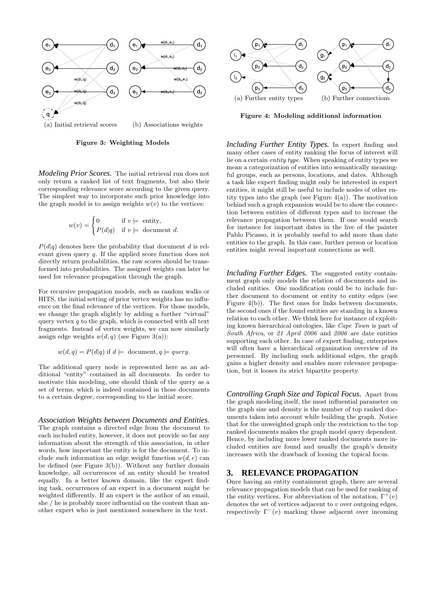

Figure 3: Weighting Models

*Modeling Prior Scores.* The initial retrieval run does not only return a ranked list of text fragments, but also their corresponding relevance score according to the given query. The simplest way to incorporate such prior knowledge into the graph model is to assign weights  $w(v)$  to the vertices:

$$
w(v) = \begin{cases} 0 & \text{if } v \models \text{ entity,} \\ P(d|q) & \text{if } v \models \text{ document } d. \end{cases}
$$

 $P(d|q)$  denotes here the probability that document d is relevant given query q. If the applied score function does not directly return probabilities, the raw scores should be transformed into probabilities. The assigned weights can later be used for relevance propagation through the graph.

For recursive propagation models, such as random walks or HITS, the initial setting of prior vertex weights has no influence on the final relevance of the vertices. For those models, we change the graph slightly by adding a further "virtual" query vertex  $q$  to the graph, which is connected with all text fragments. Instead of vertex weights, we can now similarly assign edge weights  $w(d, q)$  (see Figure 3(a)):

 $w(d, q) = P(d|q)$  if  $d \models$  document,  $q \models query$ .

The additional query node is represented here as an additional "entity" contained in all documents. In order to motivate this modeling, one should think of the query as a set of terms, which is indeed contained in those documents to a certain degree, corresponding to the initial score.

*Association Weights between Documents and Entities.* The graph contains a directed edge from the document to each included entity, however, it does not provide so far any information about the strength of this association, in other words, how important the entity is for the document. To include such information an edge weight function  $w(d, e)$  can be defined (see Figure 3(b)). Without any further domain knowledge, all occurrences of an entity should be treated equally. In a better known domain, like the expert finding task, occurrences of an expert in a document might be weighted differently. If an expert is the author of an email, she / he is probably more influential on the content than another expert who is just mentioned somewhere in the text.



Figure 4: Modeling additional information

*Including Further Entity Types.* In expert finding and many other cases of entity ranking the focus of interest will lie on a certain entity type. When speaking of entity types we mean a categorization of entities into semantically meaningful groups, such as persons, locations, and dates. Although a task like expert finding might only be interested in expert entities, it might still be useful to include nodes of other entity types into the graph (see Figure 4(a)). The motivation behind such a graph expansion would be to show the connection between entities of different types and to increase the relevance propagation between them. If one would search for instance for important dates in the live of the painter Pablo Picasso, it is probably useful to add more than date entities to the graph. In this case, further person or location entities might reveal important connections as well.

*Including Further Edges.* The suggested entity containment graph only models the relation of documents and included entities. One modification could be to include further document to document or entity to entity edges (see Figure 4(b)). The first ones for links between documents, the second ones if the found entities are standing in a known relation to each other. We think here for instance of exploiting known hierarchical ontologies, like Cape Town is part of South Africa, or 21 April 2006 and 2006 are date entities supporting each other. In case of expert finding, enterprises will often have a hierarchical organization overview of its personnel. By including such additional edges, the graph gains a higher density and enables more relevance propagation, but it looses its strict bipartite property.

*Controlling Graph Size and Topical Focus.* Apart from the graph modeling itself, the most influential parameter on the graph size and density is the number of top ranked documents taken into account while building the graph. Notice that for the unweighted graph only the restriction to the top ranked documents makes the graph model query dependent. Hence, by including more lower ranked documents more included entities are found and usually the graph's density increases with the drawback of loosing the topical focus.

# **3. RELEVANCE PROPAGATION**

Once having an entity containment graph, there are several relevance propagation models that can be used for ranking of the entity vertices. For abbreviation of the notation,  $\Gamma^+(v)$ denotes the set of vertices adjacent to  $v$  over outgoing edges, respectively  $\Gamma^-(v)$  marking those adjacent over incoming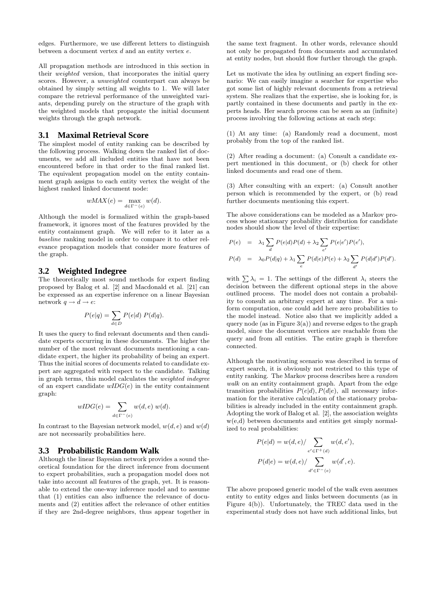edges. Furthermore, we use different letters to distinguish between a document vertex  $d$  and an entity vertex  $e$ .

All propagation methods are introduced in this section in their weighted version, that incorporates the initial query scores. However, a unweighted counterpart can always be obtained by simply setting all weights to 1. We will later compare the retrieval performance of the unweighted variants, depending purely on the structure of the graph with the weighted models that propagate the initial document weights through the graph network.

#### **3.1 Maximal Retrieval Score**

The simplest model of entity ranking can be described by the following process. Walking down the ranked list of documents, we add all included entities that have not been encountered before in that order to the final ranked list. The equivalent propagation model on the entity containment graph assigns to each entity vertex the weight of the highest ranked linked document node:

$$
wMAX(e) = \max_{d \in \Gamma^-(e)} w(d).
$$

Although the model is formalized within the graph-based framework, it ignores most of the features provided by the entity containment graph. We will refer to it later as a baseline ranking model in order to compare it to other relevance propagation models that consider more features of the graph.

# **3.2 Weighted Indegree**

The theoretically most sound methods for expert finding proposed by Balog et al. [2] and Macdonald et al. [21] can be expressed as an expertise inference on a linear Bayesian network  $q \rightarrow d \rightarrow e$ :

$$
P(e|q) = \sum_{d \in D} P(e|d) P(d|q).
$$

It uses the query to find relevant documents and then candidate experts occurring in these documents. The higher the number of the most relevant documents mentioning a candidate expert, the higher its probability of being an expert. Thus the initial scores of documents related to candidate expert are aggregated with respect to the candidate. Talking in graph terms, this model calculates the weighted indegree of an expert candidate  $wIDG(e)$  in the entity containment graph:

$$
wIDG(e) = \sum_{d \in \Gamma^-(e)} w(d, e) w(d).
$$

In contrast to the Bayesian network model,  $w(d, e)$  and  $w(d)$ are not necessarily probabilities here.

#### **3.3 Probabilistic Random Walk**

Although the linear Bayesian network provides a sound theoretical foundation for the direct inference from document to expert probabilities, such a propagation model does not take into account all features of the graph, yet. It is reasonable to extend the one-way inference model and to assume that (1) entities can also influence the relevance of documents and (2) entities affect the relevance of other entities if they are 2nd-degree neighbors, thus appear together in

the same text fragment. In other words, relevance should not only be propagated from documents and accumulated at entity nodes, but should flow further through the graph.

Let us motivate the idea by outlining an expert finding scenario: We can easily imagine a searcher for expertise who got some list of highly relevant documents from a retrieval system. She realizes that the expertise, she is looking for, is partly contained in these documents and partly in the experts heads. Her search process can be seen as an (infinite) process involving the following actions at each step:

(1) At any time: (a) Randomly read a document, most probably from the top of the ranked list.

(2) After reading a document: (a) Consult a candidate expert mentioned in this document, or (b) check for other linked documents and read one of them.

(3) After consulting with an expert: (a) Consult another person which is recommended by the expert, or (b) read further documents mentioning this expert.

The above considerations can be modeled as a Markov process whose stationary probability distribution for candidate nodes should show the level of their expertise:

$$
P(e) = \lambda_1 \sum_{d} P(e|d)P(d) + \lambda_2 \sum_{e'} P(e|e')P(e'),
$$
  

$$
P(d) = \lambda_0 P(d|q) + \lambda_1 \sum_{e} P(d|e)P(e) + \lambda_2 \sum_{d'} P(d|d')P(d').
$$

with  $\sum \lambda_i = 1$ . The settings of the different  $\lambda_i$  steers the decision between the different optional steps in the above outlined process. The model does not contain a probability to consult an arbitrary expert at any time. For a uniform computation, one could add here zero probabilities to the model instead. Notice also that we implicitly added a query node (as in Figure  $3(a)$ ) and reverse edges to the graph model, since the document vertices are reachable from the query and from all entities. The entire graph is therefore connected.

Although the motivating scenario was described in terms of expert search, it is obviously not restricted to this type of entity ranking. The Markov process describes here a random walk on an entity containment graph. Apart from the edge transition probabilities  $P(e|d)$ ,  $P(d|e)$ , all necessary information for the iterative calculation of the stationary probabilities is already included in the entity containment graph. Adopting the work of Balog et al. [2], the association weights w(e,d) between documents and entities get simply normalized to real probabilities:

$$
P(e|d) = w(d,e) / \sum_{e' \in \Gamma^+(d)} w(d,e'),
$$
  

$$
P(d|e) = w(d,e) / \sum_{d' \in \Gamma^-(e)} w(d',e).
$$

The above proposed generic model of the walk even assumes entity to entity edges and links between documents (as in Figure 4(b)). Unfortunately, the TREC data used in the experimental study does not have such additional links, but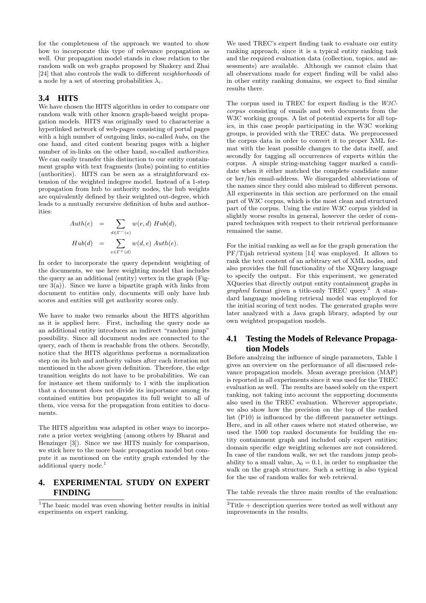for the completeness of the approach we wanted to show how to incorporate this type of relevance propagation as well. Our propagation model stands in close relation to the random walk on web graphs proposed by Shakery and Zhai [24] that also controls the walk to different neighborhoods of a node by a set of steering probabilities  $\lambda_i$ .

# **3.4 HITS**

We have chosen the HITS algorithm in order to compare our random walk with other known graph-based weight propagation models. HITS was originally used to characterize a hyperlinked network of web-pages consisting of portal pages with a high number of outgoing links, so-called hubs, on the one hand, and cited content bearing pages with a higher number of in-links on the other hand, so-called authorities. We can easily transfer this distinction to our entity containment graphs with text fragments (hubs) pointing to entities (authorities). HITS can be seen as a straightforward extension of the weighted indegree model. Instead of a 1-step propagation from hub to authority nodes, the hub weights are equivalently defined by their weighted out-degree, which leads to a mutually recursive definition of hubs and authorities:

$$
Author(e) = \sum_{d \in \Gamma^-(e)} w(e, d) \; Hub(d),
$$
  
\n
$$
Hub(d) = \sum_{e \in \Gamma^+(d)} w(d, e) \; Author(e).
$$

In order to incorporate the query dependent weighting of the documents, we use here weighting model that includes the query as an additional (entity) vertex in the graph (Figure  $3(a)$ ). Since we have a bipartite graph with links from document to entities only, documents will only have hub scores and entities will get authority scores only.

We have to make two remarks about the HITS algorithm as it is applied here. First, including the query node as an additional entity introduces an indirect "random jump" possibility. Since all document nodes are connected to the query, each of them is reachable from the others. Secondly, notice that the HITS algorithms performs a normalization step on its hub and authority values after each iteration not mentioned in the above given definition. Therefore, the edge transition weights do not have to be probabilities. We can for instance set them uniformly to 1 with the implication that a document does not divide its importance among its contained entities but propagates its full weight to all of them, vice versa for the propagation from entities to documents.

The HITS algorithm was adapted in other ways to incorporate a prior vertex weighting (among others by Bharat and Henzinger [3]). Since we use HITS mainly for comparison, we stick here to the more basic propagation model but compute it as mentioned on the entity graph extended by the additional query node.<sup>1</sup>

# **4. EXPERIMENTAL STUDY ON EXPERT FINDING**

<sup>1</sup>The basic model was even showing better results in initial experiments on expert ranking.

We used TREC's expert finding task to evaluate our entity ranking approach, since it is a typical entity ranking task and the required evaluation data (collection, topics, and assessments) are available. Although we cannot claim that all observations made for expert finding will be valid also in other entity ranking domains, we expect to find similar results there.

The corpus used in TREC for expert finding is the W3Ccorpus consisting of emails and web documents from the W<sub>3</sub>C working groups. A list of potential experts for all topics, in this case people participating in the W3C working groups, is provided with the TREC data. We preprocessed the corpus data in order to convert it to proper XML format with the least possible changes to the data itself, and secondly for tagging all occurrences of experts within the corpus. A simple string-matching tagger marked a candidate when it either matched the complete candidate name or her/his email-address. We disregarded abbreviations of the names since they could also mislead to different persons. All experiments in this section are performed on the email part of W3C corpus, which is the most clean and structured part of the corpus. Using the entire W3C corpus yielded in slightly worse results in general, however the order of compared techniques with respect to their retrieval performance remained the same.

For the initial ranking as well as for the graph generation the PF/Tijah retrieval system [14] was employed. It allows to rank the text content of an arbitrary set of XML nodes, and also provides the full functionality of the XQuery language to specify the output. For this experiment, we generated XQueries that directly output entity containment graphs in *graphml* format given a title-only TREC query.<sup>2</sup> A standard language modeling retrieval model was employed for the initial scoring of text nodes. The generated graphs were later analyzed with a Java graph library, adapted by our own weighted propagation models.

# **4.1 Testing the Models of Relevance Propagation Models**

Before analyzing the influence of single parameters, Table 1 gives an overview on the performance of all discussed relevance propagation models. Mean average precision (MAP) is reported in all experiments since it was used for the TREC evaluation as well. The results are based solely on the expert ranking, not taking into account the supporting documents also used in the TREC evaluation. Wherever appropriate, we also show how the precision on the top of the ranked list (P10) is influenced by the different parameter settings. Here, and in all other cases where not stated otherwise, we used the 1500 top ranked documents for building the entity containment graph and included only expert entities; domain specific edge weighting schemes are not considered. In case of the random walk, we set the random jump probability to a small value,  $\lambda_0 = 0.1$ , in order to emphasize the walk on the graph structure. Such a setting is also typical for the use of random walks for web retrieval.

The table reveals the three main results of the evaluation:

 $2$ Title + description queries were tested as well without any improvements in the results.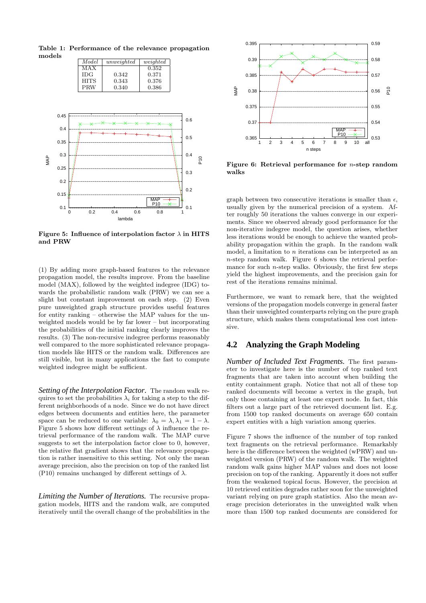

Table 1: Performance of the relevance propagation models Model unweighted weighted

MAX 0.352<br>IDG 0.342 0.371

Figure 5: Influence of interpolation factor  $\lambda$  in HITS and PRW

(1) By adding more graph-based features to the relevance propagation model, the results improve. From the baseline model (MAX), followed by the weighted indegree (IDG) towards the probabilistic random walk (PRW) we can see a slight but constant improvement on each step. (2) Even pure unweighted graph structure provides useful features for entity ranking – otherwise the MAP values for the unweighted models would be by far lower – but incorporating the probabilities of the initial ranking clearly improves the results. (3) The non-recursive indegree performs reasonably well compared to the more sophisticated relevance propagation models like HITS or the random walk. Differences are still visible, but in many applications the fast to compute weighted indegree might be sufficient.

*Setting of the Interpolation Factor.* The random walk requires to set the probabilities  $\lambda_i$  for taking a step to the different neighborhoods of a node. Since we do not have direct edges between documents and entities here, the parameter space can be reduced to one variable:  $\lambda_0 = \lambda, \lambda_1 = 1 - \lambda$ . Figure 5 shows how different settings of  $\lambda$  influence the retrieval performance of the random walk. The MAP curve suggests to set the interpolation factor close to 0, however, the relative flat gradient shows that the relevance propagation is rather insensitive to this setting. Not only the mean average precision, also the precision on top of the ranked list (P10) remains unchanged by different settings of  $\lambda$ .

*Limiting the Number of Iterations.* The recursive propagation models, HITS and the random walk, are computed iteratively until the overall change of the probabilities in the



Figure 6: Retrieval performance for n-step random walks

graph between two consecutive iterations is smaller than  $\epsilon$ . usually given by the numerical precision of a system. After roughly 50 iterations the values converge in our experiments. Since we observed already good performance for the non-iterative indegree model, the question arises, whether less iterations would be enough to achieve the wanted probability propagation within the graph. In the random walk model, a limitation to n iterations can be interpreted as an n-step random walk. Figure 6 shows the retrieval performance for such  $n$ -step walks. Obviously, the first few steps yield the highest improvements, and the precision gain for rest of the iterations remains minimal.

Furthermore, we want to remark here, that the weighted versions of the propagation models converge in general faster than their unweighted counterparts relying on the pure graph structure, which makes them computational less cost intensive.

# **4.2 Analyzing the Graph Modeling**

*Number of Included Text Fragments.* The first parameter to investigate here is the number of top ranked text fragments that are taken into account when building the entity containment graph. Notice that not all of these top ranked documents will become a vertex in the graph, but only those containing at least one expert node. In fact, this filters out a large part of the retrieved document list. E.g. from 1500 top ranked documents on average 650 contain expert entities with a high variation among queries.

Figure 7 shows the influence of the number of top ranked text fragments on the retrieval performance. Remarkably here is the difference between the weighted (wPRW) and unweighted version (PRW) of the random walk. The weighted random walk gains higher MAP values and does not loose precision on top of the ranking. Apparently it does not suffer from the weakened topical focus. However, the precision at 10 retrieved entities degrades rather soon for the unweighted variant relying on pure graph statistics. Also the mean average precision deteriorates in the unweighted walk when more than 1500 top ranked documents are considered for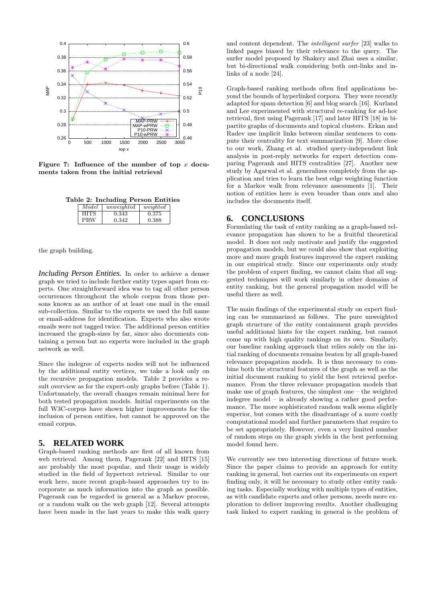

Figure 7: Influence of the number of top  $x$  documents taken from the initial retrieval

Table 2: Including Person Entities

| Model       | unweighted | weighted |
|-------------|------------|----------|
| <b>HITS</b> | 0.343      | 0.375    |
| <b>PRW</b>  | 0.342      | 0.388    |

the graph building.

*Including Person Entities.* In order to achieve a denser graph we tried to include further entity types apart from experts. One straightforward idea was to tag all other person occurrences throughout the whole corpus from those persons known as an author of at least one mail in the email sub-collection. Similar to the experts we used the full name or email-address for identification. Experts who also wrote emails were not tagged twice. The additional person entities increased the graph-sizes by far, since also documents containing a person but no experts were included in the graph network as well.

Since the indegree of experts nodes will not be influenced by the additional entity vertices, we take a look only on the recursive propagation models. Table 2 provides a result overview as for the expert-only graphs before (Table 1). Unfortunately, the overall changes remain minimal here for both tested propagation models. Initial experiments on the full W3C-corpus have shown higher improvements for the inclusion of person entities, but cannot be approved on the email corpus.

#### **5. RELATED WORK**

Graph-based ranking methods are first of all known from web retrieval. Among them, Pagerank [22] and HITS [15] are probably the most popular, and their usage is widely studied in the field of hypertext retrieval. Similar to our work here, more recent graph-based approaches try to incorporate as much information into the graph as possible. Pagerank can be regarded in general as a Markov process, or a random walk on the web graph [12]. Several attempts have been made in the last years to make this walk query

and content dependent. The intelligent surfer [23] walks to linked pages biased by their relevance to the query. The surfer model proposed by Shakery and Zhai uses a similar, but bi-directional walk considering both out-links and inlinks of a node [24].

Graph-based ranking methods often find applications beyond the bounds of hyperlinked corpora. They were recently adapted for spam detection [6] and blog search [16]. Kurland and Lee experimented with structural re-ranking for ad-hoc retrieval, first using Pagerank [17] and later HITS [18] in bipartite graphs of documents and topical clusters. Erkan and Radev use implicit links between similar sentences to compute their centrality for text summarization [9]. More close to our work, Zhang et al. studied query-independent link analysis in post-reply networks for expert detection comparing Pagerank and HITS centralities [27]. Another new study by Agarwal et al. generalizes completely from the application and tries to learn the best edge weighting function for a Markov walk from relevance assessments [1]. Their notion of entities here is even broader than ours and also includes the documents itself.

# **6. CONCLUSIONS**

Formulating the task of entity ranking as a graph-based relevance propagation has shown to be a fruitful theoretical model. It does not only motivate and justify the suggested propagation models, but we could also show that exploiting more and more graph features improved the expert ranking in our empirical study. Since our experiments only study the problem of expert finding, we cannot claim that all suggested techniques will work similarly in other domains of entity ranking, but the general propagation model will be useful there as well.

The main findings of the experimental study on expert finding can be summarized as follows. The pure unweighted graph structure of the entity containment graph provides useful additional hints for the expert ranking, but cannot come up with high quality rankings on its own. Similarly, our baseline ranking approach that relies solely on the initial ranking of documents remains beaten by all graph-based relevance propagation models. It is thus necessary to combine both the structural features of the graph as well as the initial document ranking to yield the best retrieval performance. From the three relevance propagation models that make use of graph features, the simplest one – the weighted indegree model – is already showing a rather good performance. The more sophisticated random walk seems slightly superior, but comes with the disadvantage of a more costly computational model and further parameters that require to be set appropriately. However, even a very limited number of random steps on the graph yields in the best performing model found here.

We currently see two interesting directions of future work. Since the paper claims to provide an approach for entity ranking in general, but carries out its experiments on expert finding only, it will be necessary to study other entity ranking tasks. Especially working with multiple types of entities, as with candidate experts and other persons, needs more exploration to deliver improving results. Another challenging task linked to expert ranking in general is the problem of